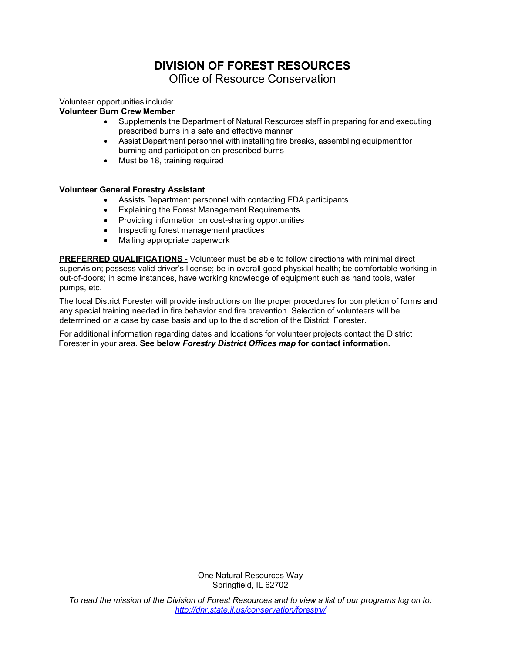# **DIVISION OF FOREST RESOURCES** Office of Resource Conservation

Volunteer opportunities include:

### **Volunteer Burn Crew Member**

- Supplements the Department of Natural Resources staff in preparing for and executing prescribed burns in a safe and effective manner
- Assist Department personnel with installing fire breaks, assembling equipment for burning and participation on prescribed burns
- Must be 18, training required

### **Volunteer General Forestry Assistant**

- Assists Department personnel with contacting FDA participants
- Explaining the Forest Management Requirements
- Providing information on cost-sharing opportunities
- Inspecting forest management practices
- Mailing appropriate paperwork

**PREFERRED QUALIFICATIONS** - Volunteer must be able to follow directions with minimal direct supervision; possess valid driver's license; be in overall good physical health; be comfortable working in out-of-doors; in some instances, have working knowledge of equipment such as hand tools, water pumps, etc.

The local District Forester will provide instructions on the proper procedures for completion of forms and any special training needed in fire behavior and fire prevention. Selection of volunteers will be determined on a case by case basis and up to the discretion of the District Forester.

For additional information regarding dates and locations for volunteer projects contact the District Forester in your area. **See below** *Forestry District Offices map* **for contact information.**

> One Natural Resources Way Springfield, IL 62702